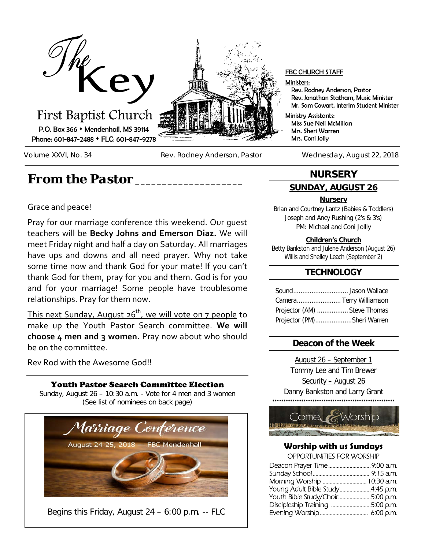

Volume XXVI, No. 34 Rev. Rodney Anderson, Pastor Wednesday, August 22, 2018

# *From the Pastor \_\_\_\_\_\_\_\_\_\_\_\_\_\_\_\_\_\_\_\_*

## Grace and peace!

Pray for our marriage conference this weekend. Our guest teachers will be **Becky Johns and Emerson Diaz.** We will meet Friday night and half a day on Saturday. All marriages have ups and downs and all need prayer. Why not take some time now and thank God for your mate! If you can't thank God for them, pray for you and them. God is for you and for your marriage! Some people have troublesome relationships. Pray for them now.

This next Sunday, August  $26<sup>th</sup>$ , we will vote on 7 people to make up the Youth Pastor Search committee. **We will choose 4 men and 3 women.** Pray now about who should be on the committee.

Rev Rod with the Awesome God!!

## Youth Pastor Search Committee Election

Sunday, August 26 – 10:30 a.m. - Vote for 4 men and 3 women (See list of nominees on back page)



### FBC CHURCH STAFF

Ministers:

Rev. Rodney Anderson, Pastor Rev. Jonathan Statham, Music Minister Mr. Sam Cowart, Interim Student Minister

Ministry Assistants: Miss Sue Nell McMillan Mrs. Sheri Warren Mrs. Coni Jolly

## **NURSERY**

## **SUNDAY, AUGUST 26**

### **Nursery**

Brian and Courtney Lantz (Babies & Toddlers) Joseph and Ancy Rushing (2's & 3's) PM: Michael and Coni Jollly

### **Children's Church**

Betty Bankston and Julene Anderson (August 26) Willis and Shelley Leach (September 2)

### **TECHNOLOGY**

| Camera Terry Williamson      |  |
|------------------------------|--|
| Projector (AM)  Steve Thomas |  |
| Projector (PM)Sheri Warren   |  |

### **Deacon of the Week**

August 26 – September 1 Tommy Lee and Tim Brewer Security – August 26 Danny Bankston and Larry Grant 



### **Worship with us Sundays** OPPORTUNITIES FOR WORSHIP

| Morning Worship  10:30 a.m.      |  |  |
|----------------------------------|--|--|
| Young Adult Bible Study4:45 p.m. |  |  |
| Youth Bible Study/Choir5:00 p.m. |  |  |
| Discipleship Training 5:00 p.m.  |  |  |
|                                  |  |  |
|                                  |  |  |